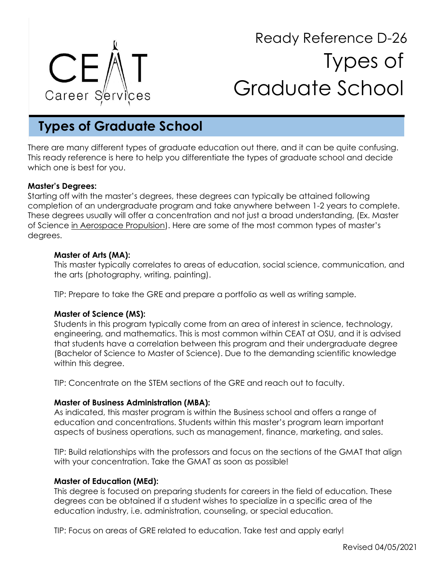

# Ready Reference D-26 Types of Graduate School

# **Types of Graduate School**

There are many different types of graduate education out there, and it can be quite confusing. This ready reference is here to help you differentiate the types of graduate school and decide which one is best for you.

# **Master's Degrees:**

Starting off with the master's degrees, these degrees can typically be attained following completion of an undergraduate program and take anywhere between 1-2 years to complete. These degrees usually will offer a concentration and not just a broad understanding, (Ex. Master of Science in Aerospace Propulsion). Here are some of the most common types of master's degrees.

### **Master of Arts (MA):**

This master typically correlates to areas of education, social science, communication, and the arts (photography, writing, painting).

TIP: Prepare to take the GRE and prepare a portfolio as well as writing sample.

# **Master of Science (MS):**

Students in this program typically come from an area of interest in science, technology, engineering, and mathematics. This is most common within CEAT at OSU, and it is advised that students have a correlation between this program and their undergraduate degree (Bachelor of Science to Master of Science). Due to the demanding scientific knowledge within this degree.

TIP: Concentrate on the STEM sections of the GRE and reach out to faculty.

#### **Master of Business Administration (MBA):**

As indicated, this master program is within the Business school and offers a range of education and concentrations. Students within this master's program learn important aspects of business operations, such as management, finance, marketing, and sales.

TIP: Build relationships with the professors and focus on the sections of the GMAT that align with your concentration. Take the GMAT as soon as possible!

#### **Master of Education (MEd):**

This degree is focused on preparing students for careers in the field of education. These degrees can be obtained if a student wishes to specialize in a specific area of the education industry, i.e. administration, counseling, or special education.

TIP: Focus on areas of GRE related to education. Take test and apply early!